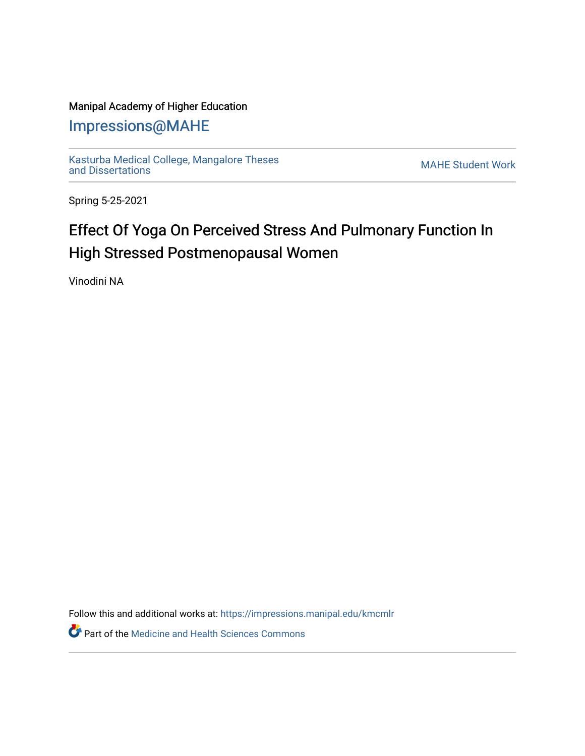### Manipal Academy of Higher Education

## [Impressions@MAHE](https://impressions.manipal.edu/)

[Kasturba Medical College, Mangalore Theses](https://impressions.manipal.edu/kmcmlr) [and Dissertations](https://impressions.manipal.edu/kmcmlr) [MAHE Student Work](https://impressions.manipal.edu/student-work) 

Spring 5-25-2021

# Effect Of Yoga On Perceived Stress And Pulmonary Function In High Stressed Postmenopausal Women

Vinodini NA

Follow this and additional works at: [https://impressions.manipal.edu/kmcmlr](https://impressions.manipal.edu/kmcmlr?utm_source=impressions.manipal.edu%2Fkmcmlr%2F32&utm_medium=PDF&utm_campaign=PDFCoverPages) 

**Part of the Medicine and Health Sciences Commons**